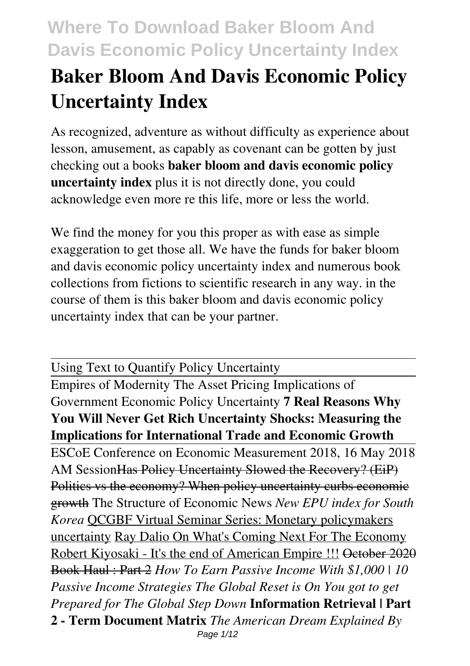# **Baker Bloom And Davis Economic Policy Uncertainty Index**

As recognized, adventure as without difficulty as experience about lesson, amusement, as capably as covenant can be gotten by just checking out a books **baker bloom and davis economic policy uncertainty index** plus it is not directly done, you could acknowledge even more re this life, more or less the world.

We find the money for you this proper as with ease as simple exaggeration to get those all. We have the funds for baker bloom and davis economic policy uncertainty index and numerous book collections from fictions to scientific research in any way. in the course of them is this baker bloom and davis economic policy uncertainty index that can be your partner.

Using Text to Quantify Policy Uncertainty Empires of Modernity The Asset Pricing Implications of Government Economic Policy Uncertainty **7 Real Reasons Why You Will Never Get Rich Uncertainty Shocks: Measuring the Implications for International Trade and Economic Growth** ESCoE Conference on Economic Measurement 2018, 16 May 2018 AM SessionHas Policy Uncertainty Slowed the Recovery? (EiP) Politics vs the economy? When policy uncertainty curbs economic growth The Structure of Economic News *New EPU index for South Korea* QCGBF Virtual Seminar Series: Monetary policymakers uncertainty Ray Dalio On What's Coming Next For The Economy Robert Kiyosaki - It's the end of American Empire !!! October 2020 Book Haul : Part 2 *How To Earn Passive Income With \$1,000 | 10 Passive Income Strategies The Global Reset is On You got to get Prepared for The Global Step Down* **Information Retrieval | Part 2 - Term Document Matrix** *The American Dream Explained By* Page  $1/12$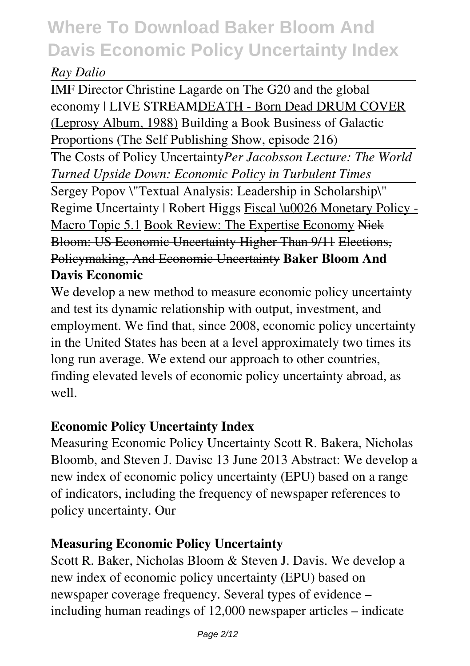#### *Ray Dalio*

IMF Director Christine Lagarde on The G20 and the global economy | LIVE STREAMDEATH - Born Dead DRUM COVER (Leprosy Album, 1988) Building a Book Business of Galactic Proportions (The Self Publishing Show, episode 216)

The Costs of Policy Uncertainty*Per Jacobsson Lecture: The World Turned Upside Down: Economic Policy in Turbulent Times* Sergey Popov \"Textual Analysis: Leadership in Scholarship\" Regime Uncertainty | Robert Higgs Fiscal \u0026 Monetary Policy - Macro Topic 5.1 Book Review: The Expertise Economy Nick Bloom: US Economic Uncertainty Higher Than 9/11 Elections, Policymaking, And Economic Uncertainty **Baker Bloom And Davis Economic**

We develop a new method to measure economic policy uncertainty and test its dynamic relationship with output, investment, and employment. We find that, since 2008, economic policy uncertainty in the United States has been at a level approximately two times its long run average. We extend our approach to other countries, finding elevated levels of economic policy uncertainty abroad, as well.

#### **Economic Policy Uncertainty Index**

Measuring Economic Policy Uncertainty Scott R. Bakera, Nicholas Bloomb, and Steven J. Davisc 13 June 2013 Abstract: We develop a new index of economic policy uncertainty (EPU) based on a range of indicators, including the frequency of newspaper references to policy uncertainty. Our

## **Measuring Economic Policy Uncertainty**

Scott R. Baker, Nicholas Bloom & Steven J. Davis. We develop a new index of economic policy uncertainty (EPU) based on newspaper coverage frequency. Several types of evidence – including human readings of 12,000 newspaper articles – indicate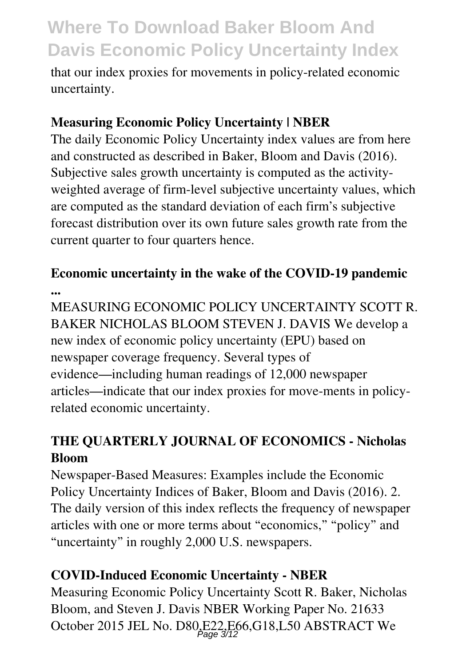that our index proxies for movements in policy-related economic uncertainty.

#### **Measuring Economic Policy Uncertainty | NBER**

The daily Economic Policy Uncertainty index values are from here and constructed as described in Baker, Bloom and Davis (2016). Subjective sales growth uncertainty is computed as the activityweighted average of firm-level subjective uncertainty values, which are computed as the standard deviation of each firm's subjective forecast distribution over its own future sales growth rate from the current quarter to four quarters hence.

## **Economic uncertainty in the wake of the COVID-19 pandemic ...**

MEASURING ECONOMIC POLICY UNCERTAINTY SCOTT R. BAKER NICHOLAS BLOOM STEVEN J. DAVIS We develop a new index of economic policy uncertainty (EPU) based on newspaper coverage frequency. Several types of evidence—including human readings of 12,000 newspaper articles—indicate that our index proxies for move-ments in policyrelated economic uncertainty.

## **THE QUARTERLY JOURNAL OF ECONOMICS - Nicholas Bloom**

Newspaper-Based Measures: Examples include the Economic Policy Uncertainty Indices of Baker, Bloom and Davis (2016). 2. The daily version of this index reflects the frequency of newspaper articles with one or more terms about "economics," "policy" and "uncertainty" in roughly 2,000 U.S. newspapers.

#### **COVID-Induced Economic Uncertainty - NBER**

Measuring Economic Policy Uncertainty Scott R. Baker, Nicholas Bloom, and Steven J. Davis NBER Working Paper No. 21633 October 2015 JEL No. D80,E22,E66,G18,L50 ABSTRACT We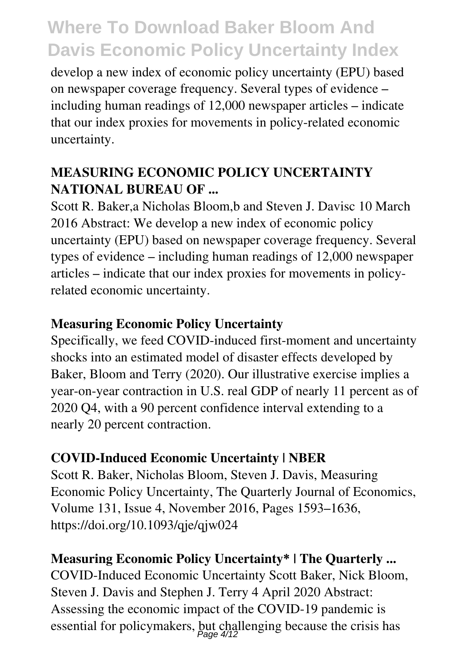develop a new index of economic policy uncertainty (EPU) based on newspaper coverage frequency. Several types of evidence – including human readings of 12,000 newspaper articles – indicate that our index proxies for movements in policy-related economic uncertainty.

### **MEASURING ECONOMIC POLICY UNCERTAINTY NATIONAL BUREAU OF ...**

Scott R. Baker,a Nicholas Bloom,b and Steven J. Davisc 10 March 2016 Abstract: We develop a new index of economic policy uncertainty (EPU) based on newspaper coverage frequency. Several types of evidence – including human readings of 12,000 newspaper articles – indicate that our index proxies for movements in policyrelated economic uncertainty.

### **Measuring Economic Policy Uncertainty**

Specifically, we feed COVID-induced first-moment and uncertainty shocks into an estimated model of disaster effects developed by Baker, Bloom and Terry (2020). Our illustrative exercise implies a year-on-year contraction in U.S. real GDP of nearly 11 percent as of 2020 Q4, with a 90 percent confidence interval extending to a nearly 20 percent contraction.

## **COVID-Induced Economic Uncertainty | NBER**

Scott R. Baker, Nicholas Bloom, Steven J. Davis, Measuring Economic Policy Uncertainty, The Quarterly Journal of Economics, Volume 131, Issue 4, November 2016, Pages 1593–1636, https://doi.org/10.1093/qje/qjw024

## **Measuring Economic Policy Uncertainty\* | The Quarterly ...**

COVID-Induced Economic Uncertainty Scott Baker, Nick Bloom, Steven J. Davis and Stephen J. Terry 4 April 2020 Abstract: Assessing the economic impact of the COVID-19 pandemic is essential for policymakers, but challenging because the crisis has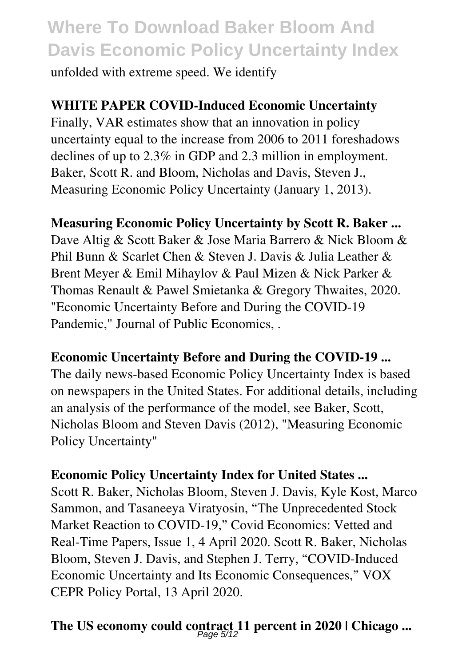unfolded with extreme speed. We identify

## **WHITE PAPER COVID-Induced Economic Uncertainty**

Finally, VAR estimates show that an innovation in policy uncertainty equal to the increase from 2006 to 2011 foreshadows declines of up to 2.3% in GDP and 2.3 million in employment. Baker, Scott R. and Bloom, Nicholas and Davis, Steven J., Measuring Economic Policy Uncertainty (January 1, 2013).

#### **Measuring Economic Policy Uncertainty by Scott R. Baker ...**

Dave Altig & Scott Baker & Jose Maria Barrero & Nick Bloom & Phil Bunn & Scarlet Chen & Steven J. Davis & Julia Leather & Brent Meyer & Emil Mihaylov & Paul Mizen & Nick Parker & Thomas Renault & Pawel Smietanka & Gregory Thwaites, 2020. "Economic Uncertainty Before and During the COVID-19 Pandemic," Journal of Public Economics, .

#### **Economic Uncertainty Before and During the COVID-19 ...**

The daily news-based Economic Policy Uncertainty Index is based on newspapers in the United States. For additional details, including an analysis of the performance of the model, see Baker, Scott, Nicholas Bloom and Steven Davis (2012), "Measuring Economic Policy Uncertainty"

#### **Economic Policy Uncertainty Index for United States ...**

Scott R. Baker, Nicholas Bloom, Steven J. Davis, Kyle Kost, Marco Sammon, and Tasaneeya Viratyosin, "The Unprecedented Stock Market Reaction to COVID-19," Covid Economics: Vetted and Real-Time Papers, Issue 1, 4 April 2020. Scott R. Baker, Nicholas Bloom, Steven J. Davis, and Stephen J. Terry, "COVID-Induced Economic Uncertainty and Its Economic Consequences," VOX CEPR Policy Portal, 13 April 2020.

# **The US economy could contract 11 percent in 2020 | Chicago ...** Page 5/12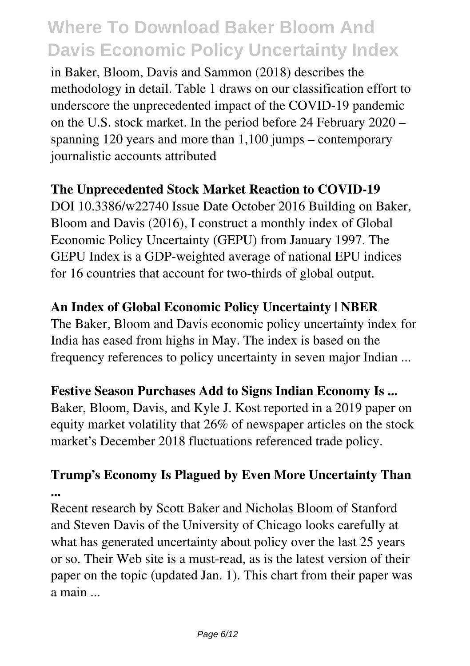in Baker, Bloom, Davis and Sammon (2018) describes the methodology in detail. Table 1 draws on our classification effort to underscore the unprecedented impact of the COVID-19 pandemic on the U.S. stock market. In the period before 24 February 2020 – spanning 120 years and more than 1,100 jumps – contemporary journalistic accounts attributed

#### **The Unprecedented Stock Market Reaction to COVID-19**

DOI 10.3386/w22740 Issue Date October 2016 Building on Baker, Bloom and Davis (2016), I construct a monthly index of Global Economic Policy Uncertainty (GEPU) from January 1997. The GEPU Index is a GDP-weighted average of national EPU indices for 16 countries that account for two-thirds of global output.

#### **An Index of Global Economic Policy Uncertainty | NBER**

The Baker, Bloom and Davis economic policy uncertainty index for India has eased from highs in May. The index is based on the frequency references to policy uncertainty in seven major Indian ...

#### **Festive Season Purchases Add to Signs Indian Economy Is ...**

Baker, Bloom, Davis, and Kyle J. Kost reported in a 2019 paper on equity market volatility that 26% of newspaper articles on the stock market's December 2018 fluctuations referenced trade policy.

#### **Trump's Economy Is Plagued by Even More Uncertainty Than ...**

Recent research by Scott Baker and Nicholas Bloom of Stanford and Steven Davis of the University of Chicago looks carefully at what has generated uncertainty about policy over the last 25 years or so. Their Web site is a must-read, as is the latest version of their paper on the topic (updated Jan. 1). This chart from their paper was a main ...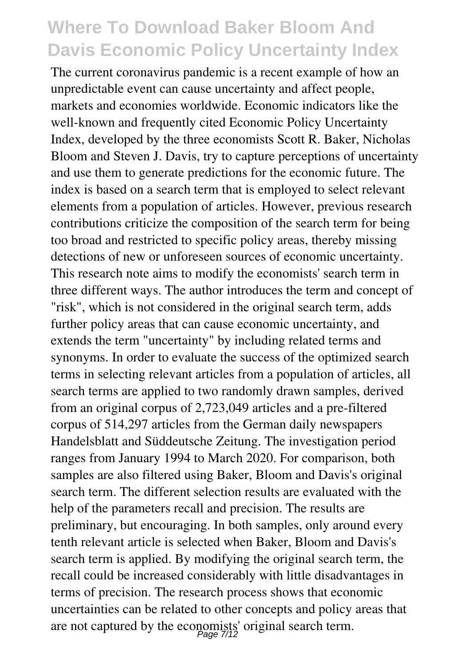The current coronavirus pandemic is a recent example of how an unpredictable event can cause uncertainty and affect people, markets and economies worldwide. Economic indicators like the well-known and frequently cited Economic Policy Uncertainty Index, developed by the three economists Scott R. Baker, Nicholas Bloom and Steven J. Davis, try to capture perceptions of uncertainty and use them to generate predictions for the economic future. The index is based on a search term that is employed to select relevant elements from a population of articles. However, previous research contributions criticize the composition of the search term for being too broad and restricted to specific policy areas, thereby missing detections of new or unforeseen sources of economic uncertainty. This research note aims to modify the economists' search term in three different ways. The author introduces the term and concept of "risk", which is not considered in the original search term, adds further policy areas that can cause economic uncertainty, and extends the term "uncertainty" by including related terms and synonyms. In order to evaluate the success of the optimized search terms in selecting relevant articles from a population of articles, all search terms are applied to two randomly drawn samples, derived from an original corpus of 2,723,049 articles and a pre-filtered corpus of 514,297 articles from the German daily newspapers Handelsblatt and Süddeutsche Zeitung. The investigation period ranges from January 1994 to March 2020. For comparison, both samples are also filtered using Baker, Bloom and Davis's original search term. The different selection results are evaluated with the help of the parameters recall and precision. The results are preliminary, but encouraging. In both samples, only around every tenth relevant article is selected when Baker, Bloom and Davis's search term is applied. By modifying the original search term, the recall could be increased considerably with little disadvantages in terms of precision. The research process shows that economic uncertainties can be related to other concepts and policy areas that are not captured by the economists' original search term.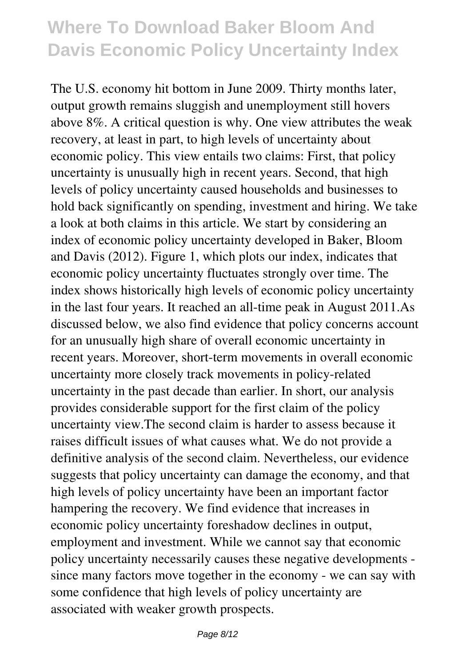The U.S. economy hit bottom in June 2009. Thirty months later, output growth remains sluggish and unemployment still hovers above 8%. A critical question is why. One view attributes the weak recovery, at least in part, to high levels of uncertainty about economic policy. This view entails two claims: First, that policy uncertainty is unusually high in recent years. Second, that high levels of policy uncertainty caused households and businesses to hold back significantly on spending, investment and hiring. We take a look at both claims in this article. We start by considering an index of economic policy uncertainty developed in Baker, Bloom and Davis (2012). Figure 1, which plots our index, indicates that economic policy uncertainty fluctuates strongly over time. The index shows historically high levels of economic policy uncertainty in the last four years. It reached an all-time peak in August 2011.As discussed below, we also find evidence that policy concerns account for an unusually high share of overall economic uncertainty in recent years. Moreover, short-term movements in overall economic uncertainty more closely track movements in policy-related uncertainty in the past decade than earlier. In short, our analysis provides considerable support for the first claim of the policy uncertainty view.The second claim is harder to assess because it raises difficult issues of what causes what. We do not provide a definitive analysis of the second claim. Nevertheless, our evidence suggests that policy uncertainty can damage the economy, and that high levels of policy uncertainty have been an important factor hampering the recovery. We find evidence that increases in economic policy uncertainty foreshadow declines in output, employment and investment. While we cannot say that economic policy uncertainty necessarily causes these negative developments since many factors move together in the economy - we can say with some confidence that high levels of policy uncertainty are associated with weaker growth prospects.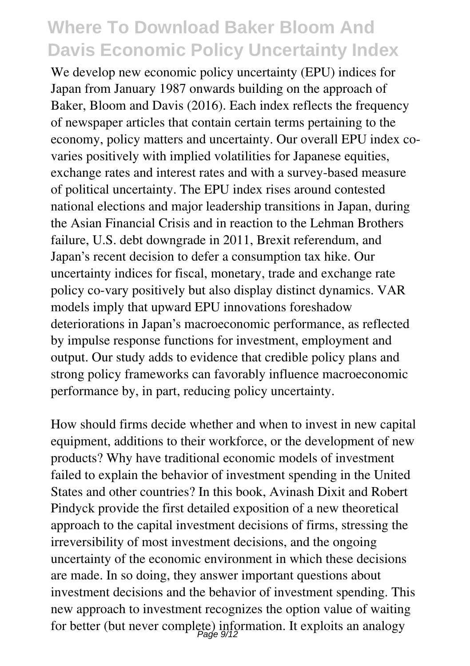We develop new economic policy uncertainty (EPU) indices for Japan from January 1987 onwards building on the approach of Baker, Bloom and Davis (2016). Each index reflects the frequency of newspaper articles that contain certain terms pertaining to the economy, policy matters and uncertainty. Our overall EPU index covaries positively with implied volatilities for Japanese equities, exchange rates and interest rates and with a survey-based measure of political uncertainty. The EPU index rises around contested national elections and major leadership transitions in Japan, during the Asian Financial Crisis and in reaction to the Lehman Brothers failure, U.S. debt downgrade in 2011, Brexit referendum, and Japan's recent decision to defer a consumption tax hike. Our uncertainty indices for fiscal, monetary, trade and exchange rate policy co-vary positively but also display distinct dynamics. VAR models imply that upward EPU innovations foreshadow deteriorations in Japan's macroeconomic performance, as reflected by impulse response functions for investment, employment and output. Our study adds to evidence that credible policy plans and strong policy frameworks can favorably influence macroeconomic performance by, in part, reducing policy uncertainty.

How should firms decide whether and when to invest in new capital equipment, additions to their workforce, or the development of new products? Why have traditional economic models of investment failed to explain the behavior of investment spending in the United States and other countries? In this book, Avinash Dixit and Robert Pindyck provide the first detailed exposition of a new theoretical approach to the capital investment decisions of firms, stressing the irreversibility of most investment decisions, and the ongoing uncertainty of the economic environment in which these decisions are made. In so doing, they answer important questions about investment decisions and the behavior of investment spending. This new approach to investment recognizes the option value of waiting for better (but never complete) information. It exploits an analogy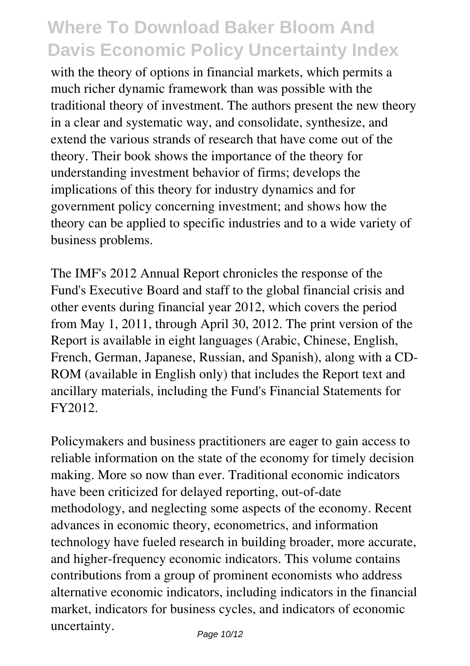with the theory of options in financial markets, which permits a much richer dynamic framework than was possible with the traditional theory of investment. The authors present the new theory in a clear and systematic way, and consolidate, synthesize, and extend the various strands of research that have come out of the theory. Their book shows the importance of the theory for understanding investment behavior of firms; develops the implications of this theory for industry dynamics and for government policy concerning investment; and shows how the theory can be applied to specific industries and to a wide variety of business problems.

The IMF's 2012 Annual Report chronicles the response of the Fund's Executive Board and staff to the global financial crisis and other events during financial year 2012, which covers the period from May 1, 2011, through April 30, 2012. The print version of the Report is available in eight languages (Arabic, Chinese, English, French, German, Japanese, Russian, and Spanish), along with a CD-ROM (available in English only) that includes the Report text and ancillary materials, including the Fund's Financial Statements for FY2012.

Policymakers and business practitioners are eager to gain access to reliable information on the state of the economy for timely decision making. More so now than ever. Traditional economic indicators have been criticized for delayed reporting, out-of-date methodology, and neglecting some aspects of the economy. Recent advances in economic theory, econometrics, and information technology have fueled research in building broader, more accurate, and higher-frequency economic indicators. This volume contains contributions from a group of prominent economists who address alternative economic indicators, including indicators in the financial market, indicators for business cycles, and indicators of economic uncertainty.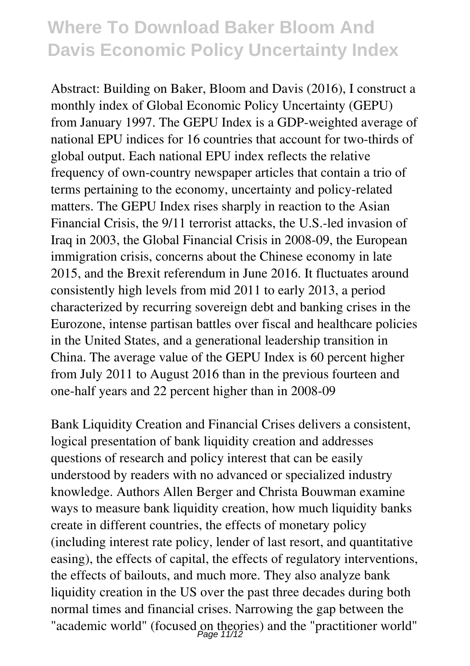Abstract: Building on Baker, Bloom and Davis (2016), I construct a monthly index of Global Economic Policy Uncertainty (GEPU) from January 1997. The GEPU Index is a GDP-weighted average of national EPU indices for 16 countries that account for two-thirds of global output. Each national EPU index reflects the relative frequency of own-country newspaper articles that contain a trio of terms pertaining to the economy, uncertainty and policy-related matters. The GEPU Index rises sharply in reaction to the Asian Financial Crisis, the 9/11 terrorist attacks, the U.S.-led invasion of Iraq in 2003, the Global Financial Crisis in 2008-09, the European immigration crisis, concerns about the Chinese economy in late 2015, and the Brexit referendum in June 2016. It fluctuates around consistently high levels from mid 2011 to early 2013, a period characterized by recurring sovereign debt and banking crises in the Eurozone, intense partisan battles over fiscal and healthcare policies in the United States, and a generational leadership transition in China. The average value of the GEPU Index is 60 percent higher from July 2011 to August 2016 than in the previous fourteen and one-half years and 22 percent higher than in 2008-09

Bank Liquidity Creation and Financial Crises delivers a consistent, logical presentation of bank liquidity creation and addresses questions of research and policy interest that can be easily understood by readers with no advanced or specialized industry knowledge. Authors Allen Berger and Christa Bouwman examine ways to measure bank liquidity creation, how much liquidity banks create in different countries, the effects of monetary policy (including interest rate policy, lender of last resort, and quantitative easing), the effects of capital, the effects of regulatory interventions, the effects of bailouts, and much more. They also analyze bank liquidity creation in the US over the past three decades during both normal times and financial crises. Narrowing the gap between the "academic world" (focused on theories) and the "practitioner world"